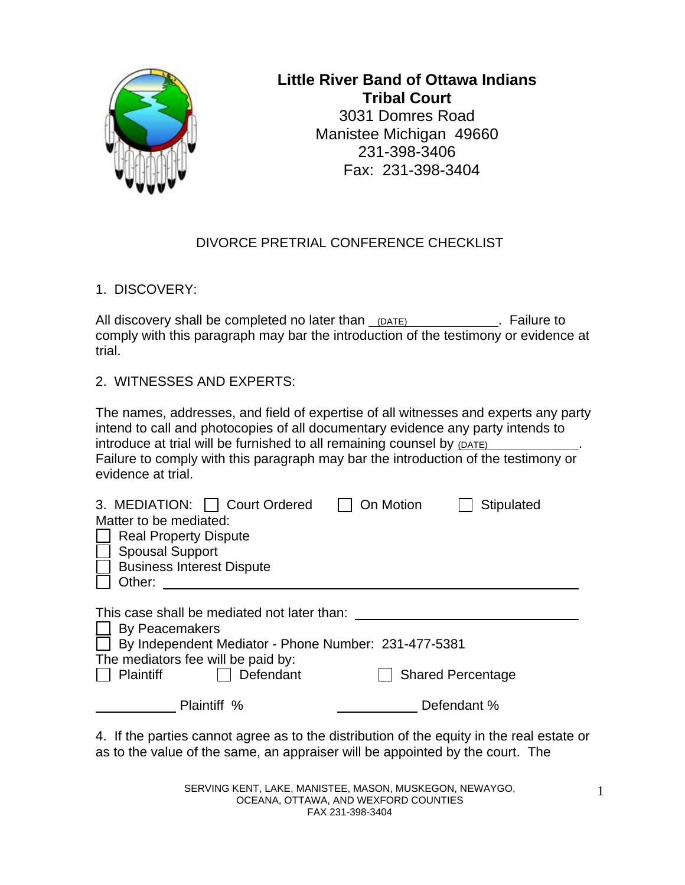

# **Little River Band of Ottawa Indians Tribal Court**  3031 Domres Road Manistee Michigan 49660 231-398-3406 Fax: 231-398-3404

### DIVORCE PRETRIAL CONFERENCE CHECKLIST

1. DISCOVERY:

All discovery shall be completed no later than (DATE) **.** Failure to comply with this paragraph may bar the introduction of the testimony or evidence at trial.

2. WITNESSES AND EXPERTS:

The names, addresses, and field of expertise of all witnesses and experts any party intend to call and photocopies of all documentary evidence any party intends to introduce at trial will be furnished to all remaining counsel by (DATE) Failure to comply with this paragraph may bar the introduction of the testimony or evidence at trial.

| 3. MEDIATION:   Court Ordered<br>Matter to be mediated:                                                                                                                               | On Motion | Stipulated               |  |
|---------------------------------------------------------------------------------------------------------------------------------------------------------------------------------------|-----------|--------------------------|--|
| <b>Real Property Dispute</b>                                                                                                                                                          |           |                          |  |
| <b>Spousal Support</b>                                                                                                                                                                |           |                          |  |
| <b>Business Interest Dispute</b>                                                                                                                                                      |           |                          |  |
| Other:                                                                                                                                                                                |           |                          |  |
| This case shall be mediated not later than:<br>By Peacemakers<br>By Independent Mediator - Phone Number: 231-477-5381<br>The mediators fee will be paid by:<br>Plaintiff<br>Defendant |           | <b>Shared Percentage</b> |  |
| Plaintiff %                                                                                                                                                                           |           | Defendant %              |  |
| $\Lambda$ If the parties cannot agree as to the distribution of the equity in the real estate of                                                                                      |           |                          |  |

4. If the parties cannot agree as to the distribution of the equity in the real estate or as to the value of the same, an appraiser will be appointed by the court. The

> SERVING KENT, LAKE, MANISTEE, MASON, MUSKEGON, NEWAYGO, OCEANA, OTTAWA, AND WEXFORD COUNTIES FAX 231-398-3404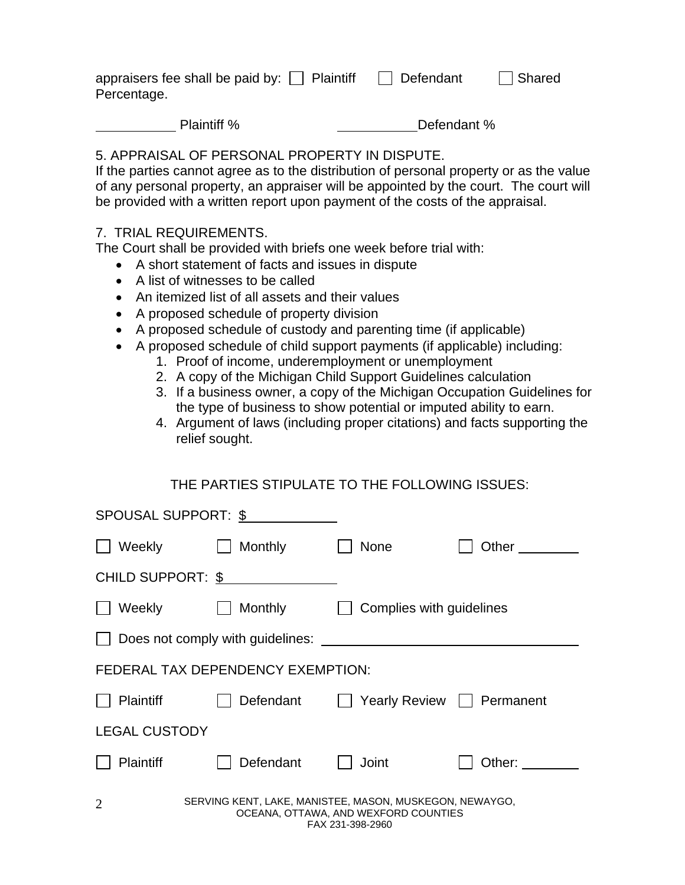| appraisers fee shall be paid by: $\Box$ Plaintiff | $\Box$ Defendant | $\Box$ Shared |
|---------------------------------------------------|------------------|---------------|
| Percentage.                                       |                  |               |

Plaintiff % Defendant %

# 5. APPRAISAL OF PERSONAL PROPERTY IN DISPUTE.

If the parties cannot agree as to the distribution of personal property or as the value of any personal property, an appraiser will be appointed by the court. The court will be provided with a written report upon payment of the costs of the appraisal.

### 7. TRIAL REQUIREMENTS.

The Court shall be provided with briefs one week before trial with:

- A short statement of facts and issues in dispute
- A list of witnesses to be called
- An itemized list of all assets and their values
- A proposed schedule of property division
- A proposed schedule of custody and parenting time (if applicable)
- A proposed schedule of child support payments (if applicable) including:
	- 1. Proof of income, underemployment or unemployment
	- 2. A copy of the Michigan Child Support Guidelines calculation
	- 3. If a business owner, a copy of the Michigan Occupation Guidelines for the type of business to show potential or imputed ability to earn.
	- 4. Argument of laws (including proper citations) and facts supporting the relief sought.

# THE PARTIES STIPULATE TO THE FOLLOWING ISSUES:

| SPOUSAL SUPPORT: \$      |                                                         |                                                          |           |
|--------------------------|---------------------------------------------------------|----------------------------------------------------------|-----------|
| Weekly                   | Monthly                                                 | <b>None</b>                                              | Other     |
| <b>CHILD SUPPORT: \$</b> |                                                         |                                                          |           |
| Weekly                   | Monthly                                                 | Complies with guidelines                                 |           |
|                          | Does not comply with guidelines:                        |                                                          |           |
|                          | FEDERAL TAX DEPENDENCY EXEMPTION:                       |                                                          |           |
| <b>Plaintiff</b>         | Defendant                                               | <b>Yearly Review</b>                                     | Permanent |
| <b>LEGAL CUSTODY</b>     |                                                         |                                                          |           |
| Plaintiff                | Defendant                                               | Joint                                                    | Other:    |
| $\overline{2}$           | SERVING KENT, LAKE, MANISTEE, MASON, MUSKEGON, NEWAYGO, | OCEANA, OTTAWA, AND WEXFORD COUNTIES<br>FAX 231-398-2960 |           |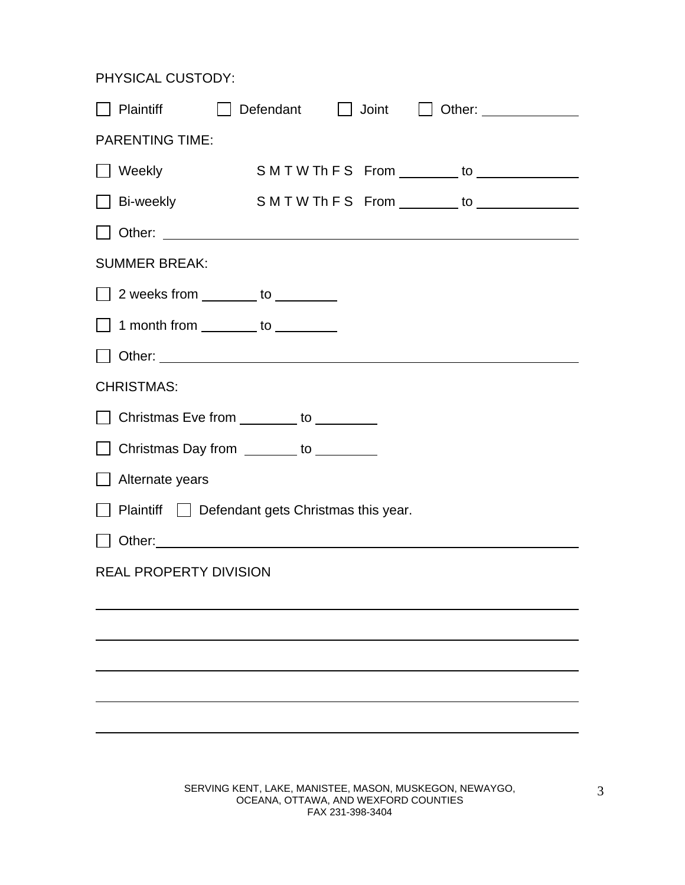PHYSICAL CUSTODY:

| Plaintiff                     |                                                                                                               |
|-------------------------------|---------------------------------------------------------------------------------------------------------------|
| <b>PARENTING TIME:</b>        |                                                                                                               |
| $\Box$ Weekly                 | SMTWThFS From _______ to ____________                                                                         |
| $\Box$ Bi-weekly              | S M T W Th F S From ________ to ______________                                                                |
|                               |                                                                                                               |
| <b>SUMMER BREAK:</b>          |                                                                                                               |
|                               | $\Box$ 2 weeks from $\_\_\_\_\_\$ to $\_\_\_\_\_\_\_\_\_\$                                                    |
|                               | 1 month from ________ to ________                                                                             |
|                               |                                                                                                               |
| <b>CHRISTMAS:</b>             |                                                                                                               |
|                               | □ Christmas Eve from ________ to ________                                                                     |
|                               | □ Christmas Day from <u>_______</u> to ________                                                               |
| Alternate years               |                                                                                                               |
|                               | $\Box$ Plaintiff $\Box$ Defendant gets Christmas this year.                                                   |
|                               | Other: 2000 2010 2010 2010 2010 2010 2010 2020 2020 2020 2020 2020 2020 2020 2020 2020 2020 2020 2020 2020 20 |
| <b>REAL PROPERTY DIVISION</b> |                                                                                                               |
|                               |                                                                                                               |
|                               |                                                                                                               |
|                               |                                                                                                               |
|                               |                                                                                                               |
|                               |                                                                                                               |